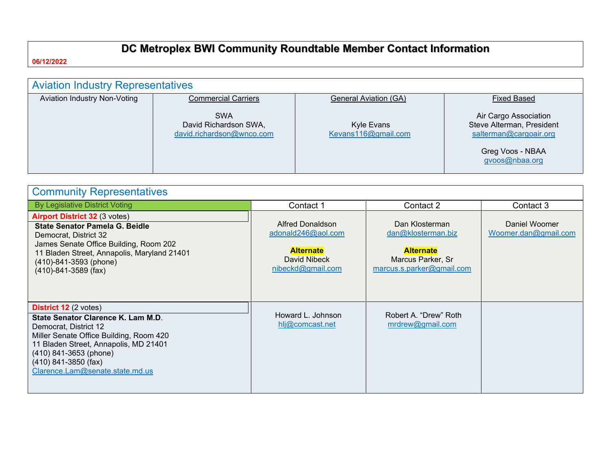# **DC Metroplex BWI Community Roundtable Member Contact Information**

**06/12/2022**

| <b>Aviation Industry Representatives</b> |                                                                  |                                   |                                                                                                                    |
|------------------------------------------|------------------------------------------------------------------|-----------------------------------|--------------------------------------------------------------------------------------------------------------------|
| Aviation Industry Non-Voting             | <b>Commercial Carriers</b>                                       | <b>General Aviation (GA)</b>      | <b>Fixed Based</b>                                                                                                 |
|                                          | <b>SWA</b><br>David Richardson SWA,<br>david.richardson@wnco.com | Kyle Evans<br>Kevans116@gmail.com | Air Cargo Association<br>Steve Alterman, President<br>salterman@cargoair.org<br>Greg Voos - NBAA<br>gvoos@nbaa.org |

| <b>Community Representatives</b>                                                                                                                                                                                                                                         |                                                                                                 |                                                                                                            |                                       |
|--------------------------------------------------------------------------------------------------------------------------------------------------------------------------------------------------------------------------------------------------------------------------|-------------------------------------------------------------------------------------------------|------------------------------------------------------------------------------------------------------------|---------------------------------------|
| <b>By Legislative District Voting</b>                                                                                                                                                                                                                                    | Contact 1                                                                                       | Contact 2                                                                                                  | Contact 3                             |
| <b>Airport District 32 (3 votes)</b><br><b>State Senator Pamela G. Beidle</b><br>Democrat, District 32<br>James Senate Office Building, Room 202<br>11 Bladen Street, Annapolis, Maryland 21401<br>$(410) - 841 - 3593$ (phone)<br>$(410) - 841 - 3589$ (fax)            | Alfred Donaldson<br>adonald246@aol.com<br><b>Alternate</b><br>David Nibeck<br>nibeckd@gmail.com | Dan Klosterman<br>dan@klosterman.biz<br><b>Alternate</b><br>Marcus Parker, Sr<br>marcus.s.parker@gmail.com | Daniel Woomer<br>Woomer.dan@gmail.com |
| <b>District 12</b> (2 votes)<br>State Senator Clarence K. Lam M.D.<br>Democrat, District 12<br>Miller Senate Office Building, Room 420<br>11 Bladen Street, Annapolis, MD 21401<br>$(410)$ 841-3653 (phone)<br>$(410)$ 841-3850 (fax)<br>Clarence.Lam@senate.state.md.us | Howard L. Johnson<br>hlj@comcast.net                                                            | Robert A. "Drew" Roth<br>mrdrew@gmail.com                                                                  |                                       |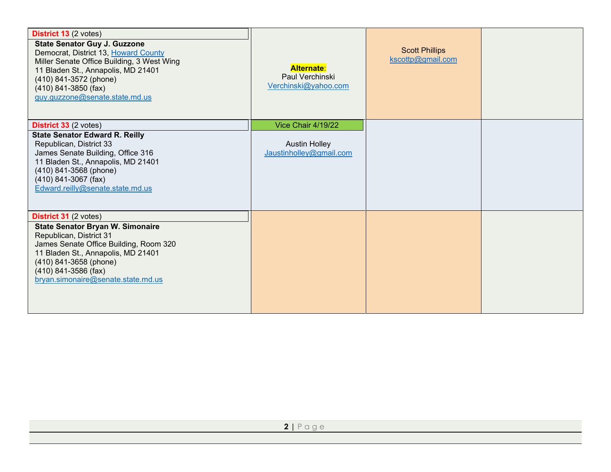| District 13 (2 votes)<br><b>State Senator Guy J. Guzzone</b><br>Democrat, District 13, Howard County<br>Miller Senate Office Building, 3 West Wing<br>11 Bladen St., Annapolis, MD 21401<br>(410) 841-3572 (phone)<br>$(410)$ 841-3850 (fax)<br>guy.guzzone@senate.state.md.us | <b>Alternate:</b><br>Paul Verchinski<br>Verchinski@yahoo.com | <b>Scott Phillips</b><br>kscottp@gmail.com |  |
|--------------------------------------------------------------------------------------------------------------------------------------------------------------------------------------------------------------------------------------------------------------------------------|--------------------------------------------------------------|--------------------------------------------|--|
| District 33 (2 votes)                                                                                                                                                                                                                                                          | Vice Chair 4/19/22                                           |                                            |  |
| <b>State Senator Edward R. Reilly</b><br>Republican, District 33<br>James Senate Building, Office 316<br>11 Bladen St., Annapolis, MD 21401<br>(410) 841-3568 (phone)<br>$(410)$ 841-3067 (fax)<br>Edward.reilly@senate.state.md.us                                            | <b>Austin Holley</b><br>Jaustinholley@gmail.com              |                                            |  |
| <b>District 31 (2 votes)</b><br><b>State Senator Bryan W. Simonaire</b><br>Republican, District 31<br>James Senate Office Building, Room 320<br>11 Bladen St., Annapolis, MD 21401<br>(410) 841-3658 (phone)<br>$(410)$ 841-3586 (fax)<br>bryan.simonaire@senate.state.md.us   |                                                              |                                            |  |
|                                                                                                                                                                                                                                                                                |                                                              |                                            |  |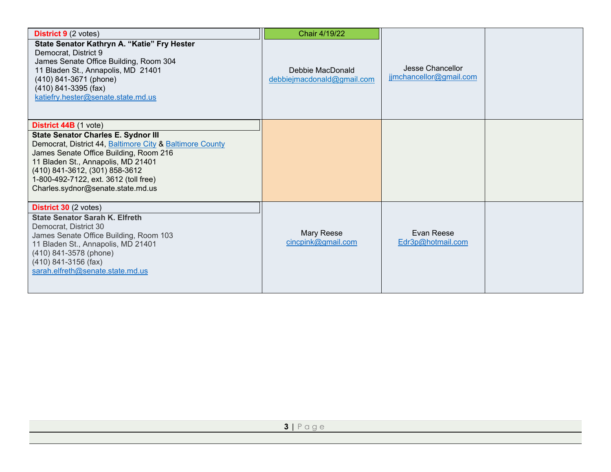| <b>District 9</b> (2 votes)<br>State Senator Kathryn A. "Katie" Fry Hester<br>Democrat, District 9<br>James Senate Office Building, Room 304<br>11 Bladen St., Annapolis, MD 21401<br>(410) 841-3671 (phone)<br>$(410)$ 841-3395 (fax)<br>katiefry.hester@senate.state.md.us                                                           | Chair 4/19/22<br>Debbie MacDonald<br>debbiejmacdonald@gmail.com | Jesse Chancellor<br>jimchancellor@gmail.com |  |
|----------------------------------------------------------------------------------------------------------------------------------------------------------------------------------------------------------------------------------------------------------------------------------------------------------------------------------------|-----------------------------------------------------------------|---------------------------------------------|--|
| <b>District 44B</b> (1 vote)<br><b>State Senator Charles E. Sydnor III</b><br>Democrat, District 44, Baltimore City & Baltimore County<br>James Senate Office Building, Room 216<br>11 Bladen St., Annapolis, MD 21401<br>(410) 841-3612, (301) 858-3612<br>1-800-492-7122, ext. 3612 (toll free)<br>Charles.sydnor@senate.state.md.us |                                                                 |                                             |  |
| <b>District 30 (2 votes)</b><br><b>State Senator Sarah K. Elfreth</b><br>Democrat, District 30<br>James Senate Office Building, Room 103<br>11 Bladen St., Annapolis, MD 21401<br>(410) 841-3578 (phone)<br>(410) 841-3156 (fax)<br>sarah.elfreth@senate.state.md.us                                                                   | Mary Reese<br>cincpink@gmail.com                                | Evan Reese<br>Edr3p@hotmail.com             |  |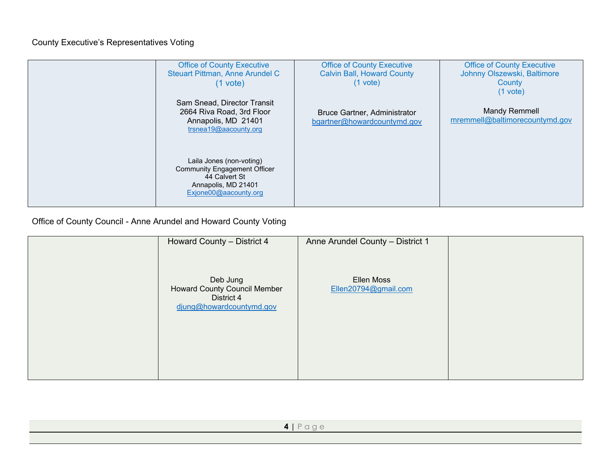## County Executive's Representatives Voting

| <b>Office of County Executive</b><br>Steuart Pittman, Anne Arundel C<br>$(1$ vote)                                               | <b>Office of County Executive</b><br><b>Calvin Ball, Howard County</b><br>$(1$ vote) | <b>Office of County Executive</b><br>Johnny Olszewski, Baltimore<br>County<br>$(1$ vote) |
|----------------------------------------------------------------------------------------------------------------------------------|--------------------------------------------------------------------------------------|------------------------------------------------------------------------------------------|
| Sam Snead, Director Transit<br>2664 Riva Road, 3rd Floor<br>Annapolis, MD 21401<br>trsnea19@aacounty.org                         | Bruce Gartner, Administrator<br>bgartner@howardcountymd.gov                          | <b>Mandy Remmell</b><br>mremmell@baltimorecountymd.gov                                   |
| Laila Jones (non-voting)<br><b>Community Engagement Officer</b><br>44 Calvert St<br>Annapolis, MD 21401<br>Exjone00@aacounty.org |                                                                                      |                                                                                          |

Office of County Council - Anne Arundel and Howard County Voting

| Howard County - District 4                                                                | Anne Arundel County - District 1   |  |
|-------------------------------------------------------------------------------------------|------------------------------------|--|
| Deb Jung<br><b>Howard County Council Member</b><br>District 4<br>djung@howardcountymd.gov | Ellen Moss<br>Ellen20794@gmail.com |  |
|                                                                                           |                                    |  |

| $\mathbf{H}$ |
|--------------|
|              |
|              |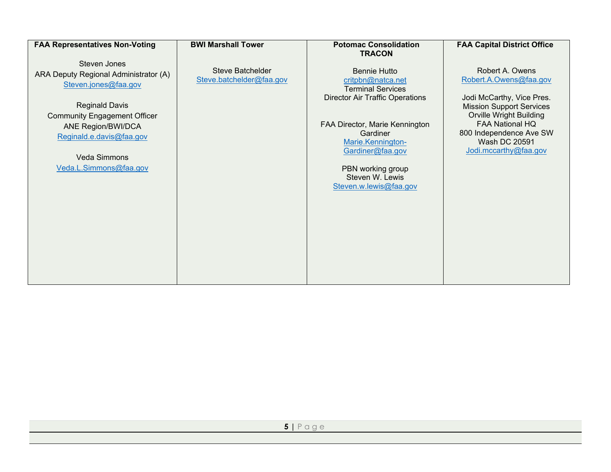#### **FAA Representatives Non-Voting**

Steven Jones ARA Deputy Regional Administrator (A) [Steven.jones@faa.gov](mailto:Steven.jones@faa.gov) 

Reginald Davis Community Engagement Officer ANE Region/BWI/DCA [Reginald.e.davis@faa.gov](mailto:Reginald.e.davis@faa.gov) 

Veda Simmons [Veda.L.Simmons@faa.gov](mailto:Veda.L.Simmons@faa.gov)

#### **BWI Marshall Tower**

Steve Batchelder [Steve.batchelder@faa.gov](mailto:Steve.batchelder@faa.gov)

#### **Potomac Consolidation TRACON**

Bennie Hutto [critpbn@natca.net](mailto:critpbn@natca.net) Terminal Services Director Air Traffic Operations

FAA Director, Marie Kennington Gardiner [Marie.Kennington-](mailto:Marie.Kennington-Gardiner@faa.gov)[Gardiner@faa.gov](mailto:Marie.Kennington-Gardiner@faa.gov)

PBN working group Steven W. Lewis [Steven.w.lewis@faa.gov](mailto:Steven.w.lewis@faa.gov) **FAA Capital District Office**

Robert A. Owens [Robert.A.Owens@faa.gov](mailto:Robert.A.Owens@faa.gov)

Jodi McCarthy, Vice Pres. Mission Support Services Orville Wright Building FAA National HQ 800 Independence Ave SW Wash DC 20591 [Jodi.mccarthy@faa.gov](mailto:Jodi.mccarthy@faa.gov)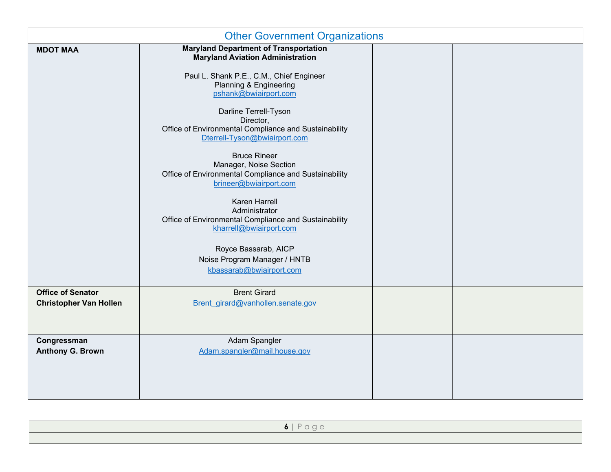| <b>Other Government Organizations</b>                     |                                                                                                                                                                                                                                                                                                                                                                                                                                                                                                                                                                                                                                                                      |  |  |
|-----------------------------------------------------------|----------------------------------------------------------------------------------------------------------------------------------------------------------------------------------------------------------------------------------------------------------------------------------------------------------------------------------------------------------------------------------------------------------------------------------------------------------------------------------------------------------------------------------------------------------------------------------------------------------------------------------------------------------------------|--|--|
| <b>MDOT MAA</b>                                           | <b>Maryland Department of Transportation</b><br><b>Maryland Aviation Administration</b><br>Paul L. Shank P.E., C.M., Chief Engineer<br>Planning & Engineering<br>pshank@bwiairport.com<br>Darline Terrell-Tyson<br>Director,<br>Office of Environmental Compliance and Sustainability<br>Dterrell-Tyson@bwiairport.com<br><b>Bruce Rineer</b><br>Manager, Noise Section<br>Office of Environmental Compliance and Sustainability<br>brineer@bwiairport.com<br>Karen Harrell<br>Administrator<br>Office of Environmental Compliance and Sustainability<br>kharrell@bwiairport.com<br>Royce Bassarab, AICP<br>Noise Program Manager / HNTB<br>kbassarab@bwiairport.com |  |  |
| <b>Office of Senator</b><br><b>Christopher Van Hollen</b> | <b>Brent Girard</b><br>Brent girard@vanhollen.senate.gov                                                                                                                                                                                                                                                                                                                                                                                                                                                                                                                                                                                                             |  |  |
| Congressman<br><b>Anthony G. Brown</b>                    | Adam Spangler<br>Adam.spangler@mail.house.gov                                                                                                                                                                                                                                                                                                                                                                                                                                                                                                                                                                                                                        |  |  |

| $6$   Page |  |
|------------|--|
|            |  |
|            |  |